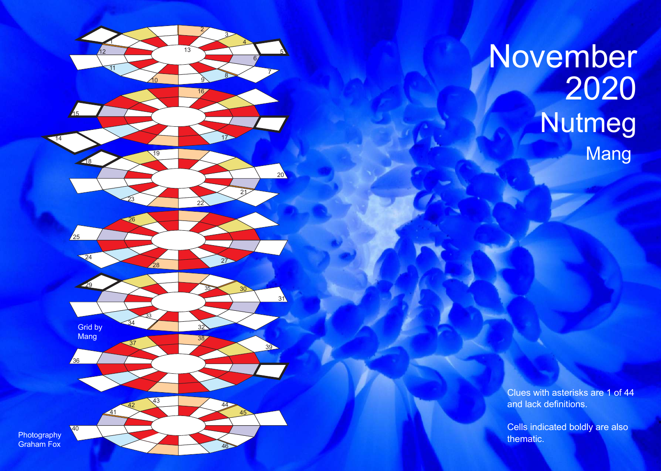

## November Nutmeg Mang

Clues with asterisks are 1 of 44 and lack definitions.

Cells indicated boldly are also thematic.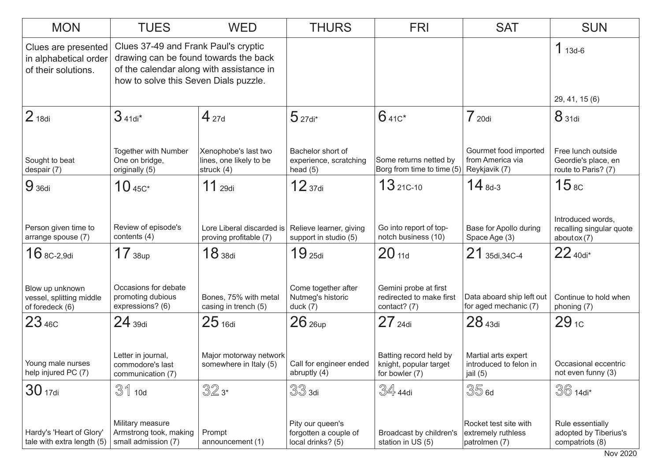| <b>MON</b>                                                          | <b>TUES</b>                                                                                                                                                        | <b>WED</b>                                                      | <b>THURS</b>                                                   | <b>FRI</b>                                                         | <b>SAT</b>                                                   | <b>SUN</b>                                                          |
|---------------------------------------------------------------------|--------------------------------------------------------------------------------------------------------------------------------------------------------------------|-----------------------------------------------------------------|----------------------------------------------------------------|--------------------------------------------------------------------|--------------------------------------------------------------|---------------------------------------------------------------------|
| Clues are presented<br>in alphabetical order<br>of their solutions. | Clues 37-49 and Frank Paul's cryptic<br>drawing can be found towards the back<br>of the calendar along with assistance in<br>how to solve this Seven Dials puzzle. |                                                                 |                                                                |                                                                    |                                                              | $1_{13d-6}$                                                         |
|                                                                     |                                                                                                                                                                    |                                                                 |                                                                |                                                                    |                                                              | 29, 41, 15 (6)                                                      |
| 2 <sub>18di</sub>                                                   | $341di*$                                                                                                                                                           | $4_{27d}$                                                       | $5$ 27di*                                                      | $641c*$                                                            | 720di                                                        | 8 31di                                                              |
| Sought to beat<br>despair (7)                                       | Together with Number<br>One on bridge,<br>originally (5)                                                                                                           | Xenophobe's last two<br>lines, one likely to be<br>struck $(4)$ | Bachelor short of<br>experience, scratching<br>head $(5)$      | Some returns netted by<br>Borg from time to time (5)               | Gourmet food imported<br>from America via<br>Reykjavik (7)   | Free lunch outside<br>Geordie's place, en<br>route to Paris? (7)    |
| 9 <sub>36di</sub>                                                   | $10_{\,45C^*}$                                                                                                                                                     | $11$ 29di                                                       | 12 <sub>37di</sub>                                             | $1321C-10$                                                         | $14_{8d-3}$                                                  | 15 <sub>8C</sub>                                                    |
| Person given time to<br>arrange spouse (7)                          | Review of episode's<br>contents (4)                                                                                                                                | Lore Liberal discarded is<br>proving profitable (7)             | Relieve learner, giving<br>support in studio (5)               | Go into report of top-<br>notch business (10)                      | Base for Apollo during<br>Space Age (3)                      | Introduced words,<br>recalling singular quote<br>about $\alpha$ (7) |
| $16$ 8C-2.9di                                                       | 17 <sub>38up</sub>                                                                                                                                                 | 18 <sub>38di</sub>                                              | 19 <sub>25di</sub>                                             | 20 <sub>11d</sub>                                                  | 21 35di, 34C-4                                               | $22$ 40di*                                                          |
| Blow up unknown<br>vessel, splitting middle<br>of foredeck (6)      | Occasions for debate<br>promoting dubious<br>expressions? (6)                                                                                                      | Bones, 75% with metal<br>casing in trench (5)                   | Come together after<br>Nutmeg's historic<br>duck $(7)$         | Gemini probe at first<br>redirected to make first<br>contact? (7)  | Data aboard ship left out<br>for aged mechanic (7)           | Continue to hold when<br>phoning (7)                                |
| $23*56$                                                             | $24$ 39di                                                                                                                                                          | $25$ 16di                                                       | $26$ $_{26up}$                                                 | $27$ 24di                                                          | 28 <sub>43di</sub>                                           | $29_{1c}$                                                           |
| Young male nurses<br>help injured PC (7)                            | Letter in journal,<br>commodore's last<br>communication (7)                                                                                                        | Major motorway network<br>somewhere in Italy (5)                | Call for engineer ended<br>abruptly (4)                        | Batting record held by<br>knight, popular target<br>for bowler (7) | Martial arts expert<br>introduced to felon in<br>jail (5)    | Occasional eccentric<br>not even funny (3)                          |
| 30 <sub>17di</sub>                                                  | $31$ 10d                                                                                                                                                           | 32x                                                             | $33$ 3di                                                       | $\mathbb{S}4$ 44di                                                 | 35 <sub>6d</sub>                                             | $36$ 14di*                                                          |
| Hardy's 'Heart of Glory'<br>tale with extra length (5)              | Military measure<br>Armstrong took, making<br>small admission (7)                                                                                                  | Prompt<br>announcement (1)                                      | Pity our queen's<br>forgotten a couple of<br>local drinks? (5) | Broadcast by children's<br>station in US (5)                       | Rocket test site with<br>extremely ruthless<br>patrolmen (7) | Rule essentially<br>adopted by Tiberius's<br>compatriots (8)        |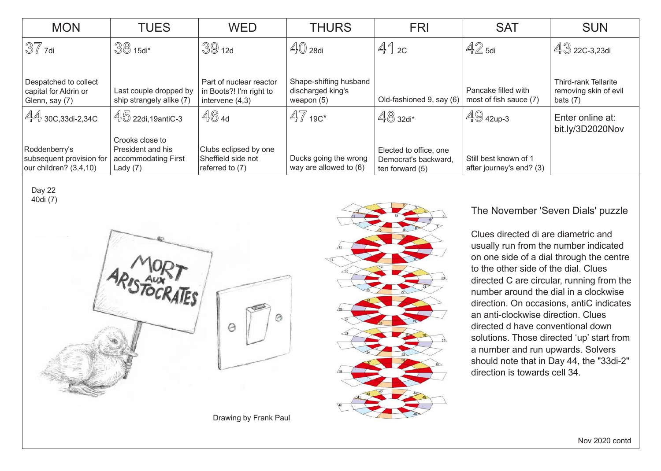| <b>MON</b>                                                          | <b>TUES</b>                                            | <b>WED</b>                                                              | <b>THURS</b>                                                | <b>FRI</b>                                                        | <b>SAT</b>                                        | <b>SUN</b>                                                         |
|---------------------------------------------------------------------|--------------------------------------------------------|-------------------------------------------------------------------------|-------------------------------------------------------------|-------------------------------------------------------------------|---------------------------------------------------|--------------------------------------------------------------------|
| $37$ 7di                                                            | $38$ 15di <sup>*</sup>                                 | 3912d                                                                   | $\mathbb{4}$ $\mathbb{0}$ 28di                              | 412c                                                              | $42$ 5di                                          |                                                                    |
| Despatched to collect<br>capital for Aldrin or<br>Glenn, say (7)    | Last couple dropped by<br>ship strangely alike (7)     | Part of nuclear reactor<br>in Boots?! I'm right to<br>intervene $(4,3)$ | Shape-shifting husband<br>discharged king's<br>weapon $(5)$ | Old-fashioned 9, say (6)                                          | Pancake filled with<br>most of fish sauce (7)     | <b>Third-rank Tellarite</b><br>removing skin of evil<br>bats $(7)$ |
| $44$ 30C, 33di-2, 34C                                               | . 45 22di,19antiC-3<br>Crooks close to                 | 464                                                                     | $47$ 19C*                                                   | $48$ 32di*                                                        | $49$ 42up-3                                       | Enter online at:<br>bit.ly/3D2020Nov                               |
| Roddenberry's<br>subsequent provision for<br>our children? (3,4,10) | President and his<br>accommodating First<br>Lady $(7)$ | Clubs eclipsed by one<br>Sheffield side not<br>referred to (7)          | Ducks going the wrong<br>way are allowed to (6)             | Elected to office, one<br>Democrat's backward,<br>ten forward (5) | Still best known of 1<br>after journey's end? (3) |                                                                    |

Day 22 40di (7)



The November 'Seven Dials' puzzle

Clues directed di are diametric and usually run from the number indicated on one side of a dial through the centre to the other side of the dial. Clues directed C are circular, running from the number around the dial in a clockwise direction. On occasions, antiC indicates an anti-clockwise direction. Clues directed d have conventional down solutions. Those directed 'up' start from a number and run upwards. Solvers should note that in Day 44, the "33di-2" direction is towards cell 34.